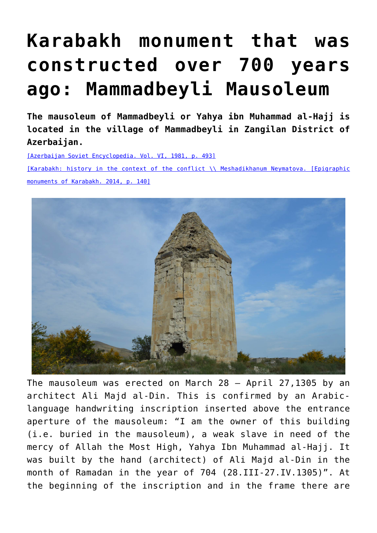## **[Karabakh monument that was](https://qarabag.com/karabakh-monument-that-was-constructed-over-700-years-ago-mammadbeyli-mausoleum/) [constructed over 700 years](https://qarabag.com/karabakh-monument-that-was-constructed-over-700-years-ago-mammadbeyli-mausoleum/) [ago: Mammadbeyli Mausoleum](https://qarabag.com/karabakh-monument-that-was-constructed-over-700-years-ago-mammadbeyli-mausoleum/)**

**The mausoleum of Mammadbeyli or Yahya ibn Muhammad al-Hajj is located in the village of Mammadbeyli in Zangilan District of Azerbaijan.**

[\[Azerbaijan Soviet Encyclopedia. Vol. VI, 1981, p. 493\]](https://qarabag.com/wp-content/uploads/2022/06/Azerbaycan-Sovet-Ensiklopediyasi.pdf)

[\[Karabakh: history in the context of the conflict \\ Meshadikhanum Neymatova. \[Epigraphic](https://qarabag.com/wp-content/uploads/2022/06/Мешадиханум-Нематова.pdf) [monuments of Karabakh. 2014, p. 140\]](https://qarabag.com/wp-content/uploads/2022/06/Мешадиханум-Нематова.pdf)



The mausoleum was erected on March 28 – April 27,1305 by an architect Ali Majd al-Din. This is confirmed by an Arabiclanguage handwriting inscription inserted above the entrance aperture of the mausoleum: "I am the owner of this building (i.e. buried in the mausoleum), a weak slave in need of the mercy of Allah the Most High, Yahya Ibn Muhammad al-Hajj. It was built by the hand (architect) of Ali Majd al-Din in the month of Ramadan in the year of 704 (28.III-27.IV.1305)". At the beginning of the inscription and in the frame there are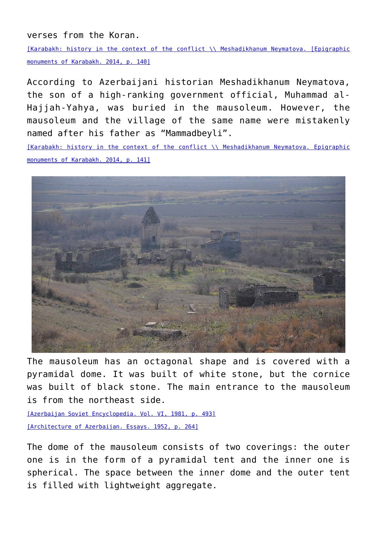verses from the Koran.

[\[Karabakh: history in the context of the conflict \\ Meshadikhanum Neymatova. \[Epigraphic](https://qarabag.com/wp-content/uploads/2022/06/Мешадиханум-Нематова.pdf) [monuments of Karabakh. 2014, p. 140\]](https://qarabag.com/wp-content/uploads/2022/06/Мешадиханум-Нематова.pdf)

According to Azerbaijani historian Meshadikhanum Neymatova, the son of a high-ranking government official, Muhammad al-Hajjah-Yahya, was buried in the mausoleum. However, the mausoleum and the village of the same name were mistakenly named after his father as "Mammadbeyli".

[\[Karabakh: history in the context of the conflict \\ Meshadikhanum Neymatova. Epigraphic](https://qarabag.com/wp-content/uploads/2022/06/Мешадиханум-Нематова.pdf) [monuments of Karabakh. 2014, p. 141\]](https://qarabag.com/wp-content/uploads/2022/06/Мешадиханум-Нематова.pdf)



The mausoleum has an octagonal shape and is covered with a pyramidal dome. It was built of white stone, but the cornice was built of black stone. The main entrance to the mausoleum is from the northeast side.

[\[Azerbaijan Soviet Encyclopedia. Vol. VI, 1981, p. 493\]](https://qarabag.com/wp-content/uploads/2022/06/Azerbaycan-Sovet-Ensiklopediyasi.pdf) [\[Architecture of Azerbaijan. Essays. 1952, p. 264\]](https://qarabag.com/wp-content/uploads/2022/06/архитектура-Азербайджана.pdf)

The dome of the mausoleum consists of two coverings: the outer one is in the form of a pyramidal tent and the inner one is spherical. The space between the inner dome and the outer tent is filled with lightweight aggregate.